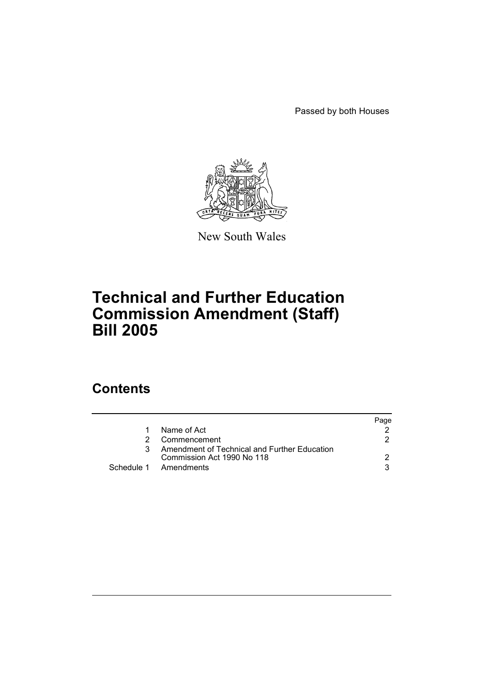Passed by both Houses



New South Wales

## **Technical and Further Education Commission Amendment (Staff) Bill 2005**

### **Contents**

|    |                                                                            | Page |
|----|----------------------------------------------------------------------------|------|
| 1. | Name of Act                                                                |      |
| 2. | Commencement                                                               |      |
| 3  | Amendment of Technical and Further Education<br>Commission Act 1990 No 118 |      |
|    | Schedule 1 Amendments                                                      | વ    |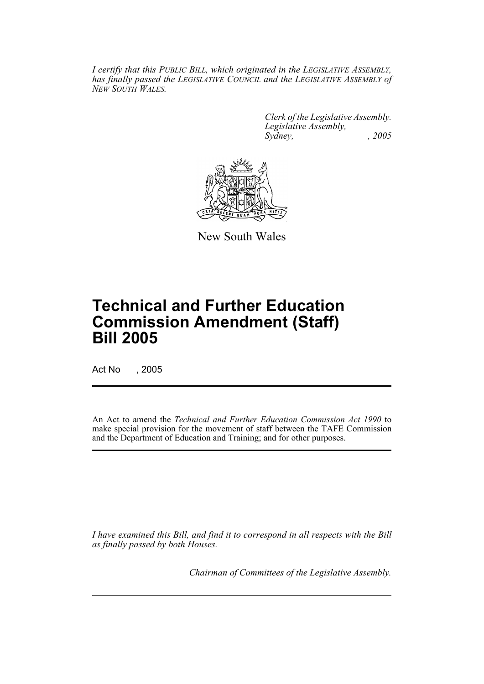*I certify that this PUBLIC BILL, which originated in the LEGISLATIVE ASSEMBLY, has finally passed the LEGISLATIVE COUNCIL and the LEGISLATIVE ASSEMBLY of NEW SOUTH WALES.*

> *Clerk of the Legislative Assembly. Legislative Assembly, Sydney, , 2005*



New South Wales

# **Technical and Further Education Commission Amendment (Staff) Bill 2005**

Act No , 2005

An Act to amend the *Technical and Further Education Commission Act 1990* to make special provision for the movement of staff between the TAFE Commission and the Department of Education and Training; and for other purposes.

*I have examined this Bill, and find it to correspond in all respects with the Bill as finally passed by both Houses.*

*Chairman of Committees of the Legislative Assembly.*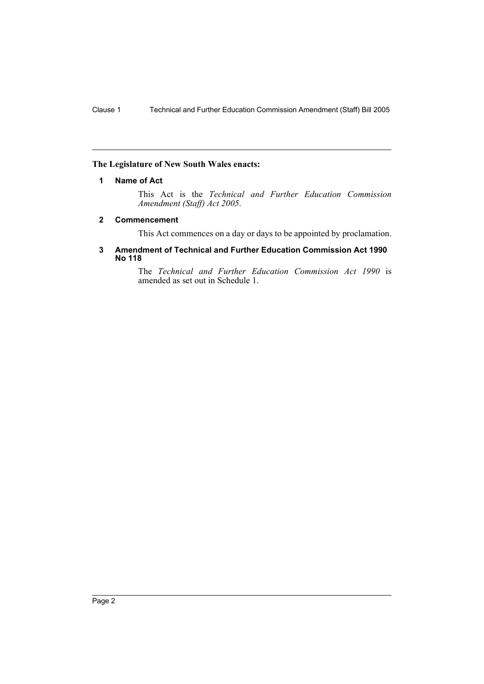#### **The Legislature of New South Wales enacts:**

#### **1 Name of Act**

This Act is the *Technical and Further Education Commission Amendment (Staff) Act 2005*.

#### **2 Commencement**

This Act commences on a day or days to be appointed by proclamation.

#### **3 Amendment of Technical and Further Education Commission Act 1990 No 118**

The *Technical and Further Education Commission Act 1990* is amended as set out in Schedule 1.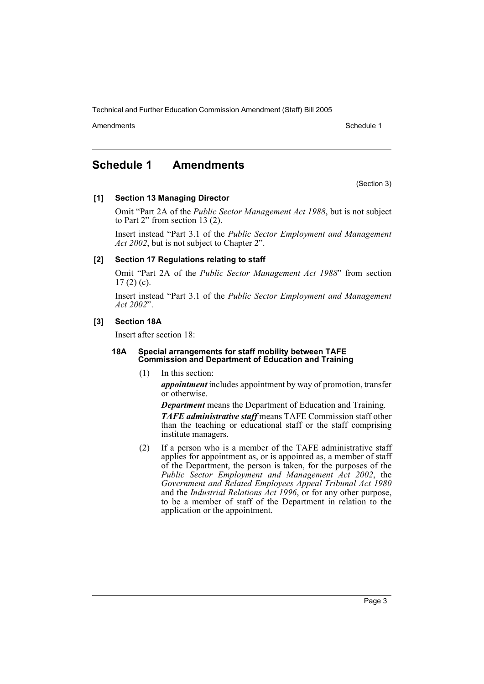Technical and Further Education Commission Amendment (Staff) Bill 2005

Amendments **Amendments** Schedule 1

### **Schedule 1 Amendments**

(Section 3)

#### **[1] Section 13 Managing Director**

Omit "Part 2A of the *Public Sector Management Act 1988*, but is not subject to Part 2" from section 13 (2).

Insert instead "Part 3.1 of the *Public Sector Employment and Management Act 2002*, but is not subject to Chapter 2".

#### **[2] Section 17 Regulations relating to staff**

Omit "Part 2A of the *Public Sector Management Act 1988*" from section  $17(2)(c)$ .

Insert instead "Part 3.1 of the *Public Sector Employment and Management Act 2002*".

#### **[3] Section 18A**

Insert after section 18:

#### **18A Special arrangements for staff mobility between TAFE Commission and Department of Education and Training**

(1) In this section:

*appointment* includes appointment by way of promotion, transfer or otherwise.

*Department* means the Department of Education and Training.

*TAFE administrative staff* means TAFE Commission staff other than the teaching or educational staff or the staff comprising institute managers.

(2) If a person who is a member of the TAFE administrative staff applies for appointment as, or is appointed as, a member of staff of the Department, the person is taken, for the purposes of the *Public Sector Employment and Management Act 2002*, the *Government and Related Employees Appeal Tribunal Act 1980* and the *Industrial Relations Act 1996*, or for any other purpose, to be a member of staff of the Department in relation to the application or the appointment.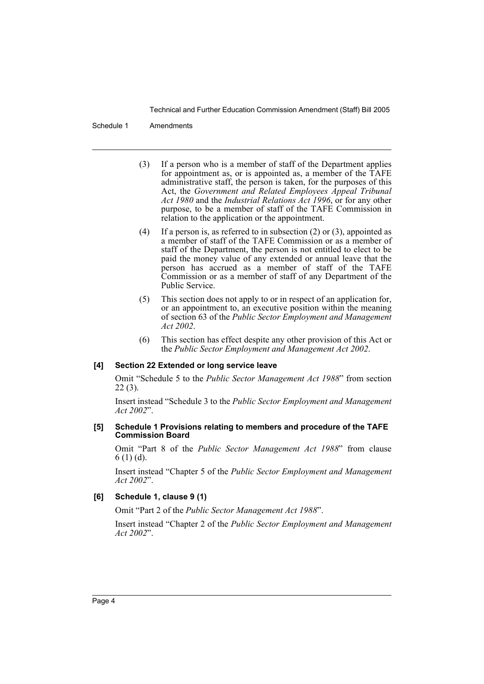Technical and Further Education Commission Amendment (Staff) Bill 2005

#### Schedule 1 Amendments

- (3) If a person who is a member of staff of the Department applies for appointment as, or is appointed as, a member of the TAFE administrative staff, the person is taken, for the purposes of this Act, the *Government and Related Employees Appeal Tribunal Act 1980* and the *Industrial Relations Act 1996*, or for any other purpose, to be a member of staff of the TAFE Commission in relation to the application or the appointment.
- (4) If a person is, as referred to in subsection (2) or (3), appointed as a member of staff of the TAFE Commission or as a member of staff of the Department, the person is not entitled to elect to be paid the money value of any extended or annual leave that the person has accrued as a member of staff of the TAFE Commission or as a member of staff of any Department of the Public Service.
- (5) This section does not apply to or in respect of an application for, or an appointment to, an executive position within the meaning of section 63 of the *Public Sector Employment and Management Act 2002*.
- (6) This section has effect despite any other provision of this Act or the *Public Sector Employment and Management Act 2002*.

#### **[4] Section 22 Extended or long service leave**

Omit "Schedule 5 to the *Public Sector Management Act 1988*" from section 22 (3).

Insert instead "Schedule 3 to the *Public Sector Employment and Management Act 2002*".

#### **[5] Schedule 1 Provisions relating to members and procedure of the TAFE Commission Board**

Omit "Part 8 of the *Public Sector Management Act 1988*" from clause 6 (1) (d).

Insert instead "Chapter 5 of the *Public Sector Employment and Management Act 2002*".

#### **[6] Schedule 1, clause 9 (1)**

Omit "Part 2 of the *Public Sector Management Act 1988*".

Insert instead "Chapter 2 of the *Public Sector Employment and Management Act 2002*".